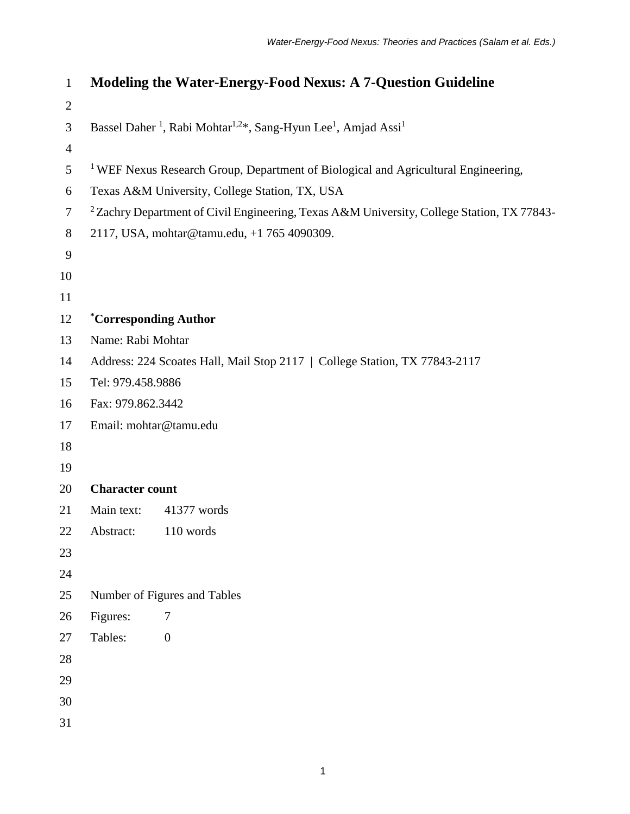| $\mathbf{1}$   | <b>Modeling the Water-Energy-Food Nexus: A 7-Question Guideline</b>                                            |                  |
|----------------|----------------------------------------------------------------------------------------------------------------|------------------|
| $\overline{2}$ |                                                                                                                |                  |
| 3              | Bassel Daher <sup>1</sup> , Rabi Mohtar <sup>1,2*</sup> , Sang-Hyun Lee <sup>1</sup> , Amjad Assi <sup>1</sup> |                  |
| $\overline{4}$ |                                                                                                                |                  |
| 5              | <sup>1</sup> WEF Nexus Research Group, Department of Biological and Agricultural Engineering,                  |                  |
| 6              | Texas A&M University, College Station, TX, USA                                                                 |                  |
| $\overline{7}$ | <sup>2</sup> Zachry Department of Civil Engineering, Texas A&M University, College Station, TX 77843-          |                  |
| 8              | 2117, USA, mohtar@tamu.edu, +1 765 4090309.                                                                    |                  |
| 9              |                                                                                                                |                  |
| 10             |                                                                                                                |                  |
| 11             |                                                                                                                |                  |
| 12             | <i>*Corresponding Author</i>                                                                                   |                  |
| 13             | Name: Rabi Mohtar                                                                                              |                  |
| 14             | Address: 224 Scoates Hall, Mail Stop 2117   College Station, TX 77843-2117                                     |                  |
| 15             | Tel: 979.458.9886                                                                                              |                  |
| 16             | Fax: 979.862.3442                                                                                              |                  |
| 17             | Email: mohtar@tamu.edu                                                                                         |                  |
| 18             |                                                                                                                |                  |
| 19             |                                                                                                                |                  |
| 20             | <b>Character count</b>                                                                                         |                  |
| 21             | Main text:                                                                                                     | 41377 words      |
| 22             | Abstract:                                                                                                      | 110 words        |
| 23             |                                                                                                                |                  |
| 24             |                                                                                                                |                  |
| 25             | Number of Figures and Tables                                                                                   |                  |
| 26             | Figures:                                                                                                       | 7                |
| 27             | Tables:                                                                                                        | $\boldsymbol{0}$ |
| 28             |                                                                                                                |                  |
| 29             |                                                                                                                |                  |
| 30             |                                                                                                                |                  |
| 31             |                                                                                                                |                  |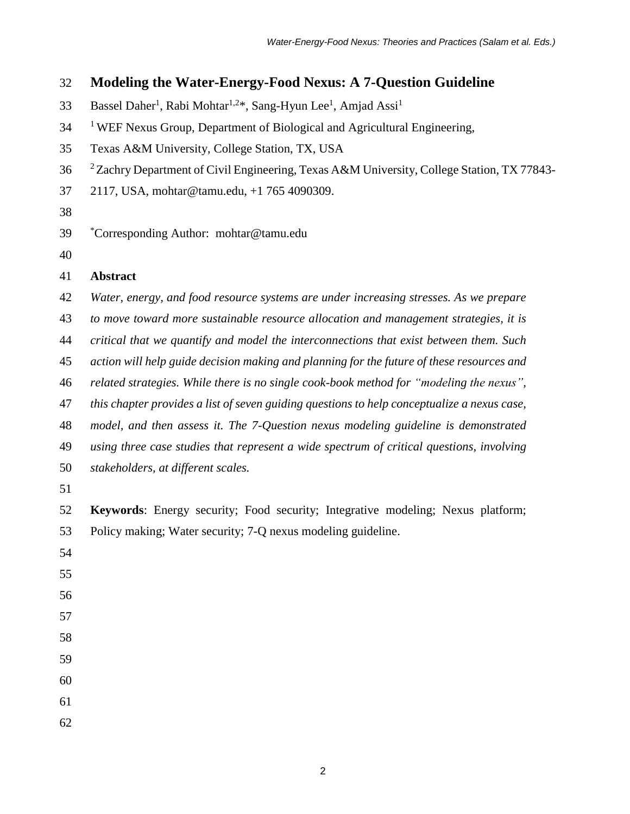# **Modeling the Water-Energy-Food Nexus: A 7-Question Guideline**

- Bassel Daher<sup>1</sup>, Rabi Mohtar<sup>1,2\*</sup>, Sang-Hyun Lee<sup>1</sup>, Amjad Assi<sup>1</sup>
- <sup>1</sup> WEF Nexus Group, Department of Biological and Agricultural Engineering,
- Texas A&M University, College Station, TX, USA
- <sup>2</sup> Zachry Department of Civil Engineering, Texas A&M University, College Station, TX 77843-
- 2117, USA, mohtar@tamu.edu, +1 765 4090309.
- 
- \* Corresponding Author: mohtar@tamu.edu
- 

# **Abstract**

- *Water, energy, and food resource systems are under increasing stresses. As we prepare*
- *to move toward more sustainable resource allocation and management strategies, it is*
- *critical that we quantify and model the interconnections that exist between them. Such*
- *action will help guide decision making and planning for the future of these resources and*
- *related strategies. While there is no single cook-book method for "modeling the nexus",*
- *this chapter provides a list of seven guiding questions to help conceptualize a nexus case,*
- *model, and then assess it. The 7-Question nexus modeling guideline is demonstrated*
- *using three case studies that represent a wide spectrum of critical questions, involving*
- *stakeholders, at different scales.*
- 
- **Keywords**: Energy security; Food security; Integrative modeling; Nexus platform; Policy making; Water security; 7-Q nexus modeling guideline.
- 
- 
- 
- 
- 
- 

- 
- 
-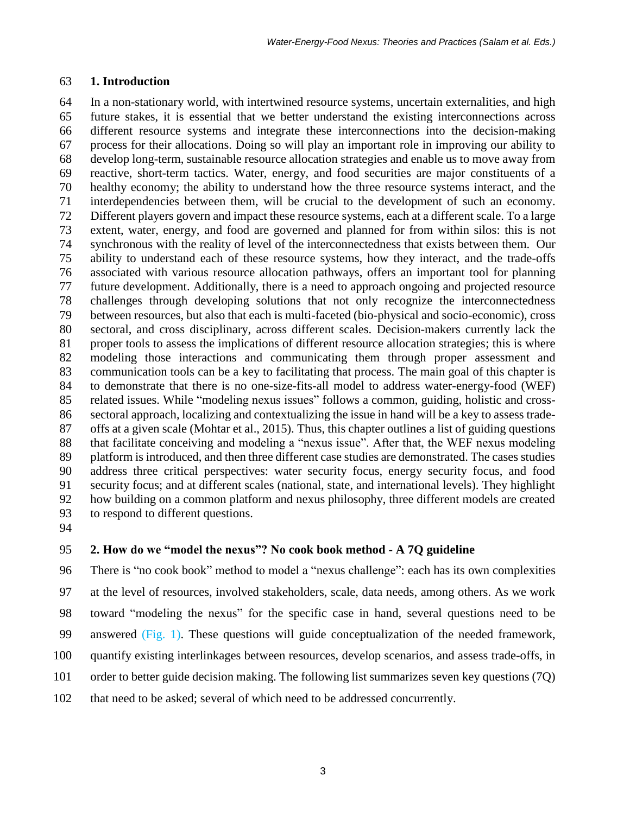#### **1. Introduction**

 In a non-stationary world, with intertwined resource systems, uncertain externalities, and high future stakes, it is essential that we better understand the existing interconnections across different resource systems and integrate these interconnections into the decision-making process for their allocations. Doing so will play an important role in improving our ability to develop long-term, sustainable resource allocation strategies and enable us to move away from reactive, short-term tactics. Water, energy, and food securities are major constituents of a healthy economy; the ability to understand how the three resource systems interact, and the interdependencies between them, will be crucial to the development of such an economy. Different players govern and impact these resource systems, each at a different scale. To a large extent, water, energy, and food are governed and planned for from within silos: this is not synchronous with the reality of level of the interconnectedness that exists between them. Our ability to understand each of these resource systems, how they interact, and the trade-offs associated with various resource allocation pathways, offers an important tool for planning future development. Additionally, there is a need to approach ongoing and projected resource challenges through developing solutions that not only recognize the interconnectedness between resources, but also that each is multi-faceted (bio-physical and socio-economic), cross sectoral, and cross disciplinary, across different scales. Decision-makers currently lack the proper tools to assess the implications of different resource allocation strategies; this is where modeling those interactions and communicating them through proper assessment and communication tools can be a key to facilitating that process. The main goal of this chapter is to demonstrate that there is no one-size-fits-all model to address water-energy-food (WEF) related issues. While "modeling nexus issues" follows a common, guiding, holistic and cross- sectoral approach, localizing and contextualizing the issue in hand will be a key to assess trade- offs at a given scale (Mohtar et al., 2015). Thus, this chapter outlines a list of guiding questions that facilitate conceiving and modeling a "nexus issue". After that, the WEF nexus modeling platform is introduced, and then three different case studies are demonstrated. The cases studies address three critical perspectives: water security focus, energy security focus, and food security focus; and at different scales (national, state, and international levels). They highlight how building on a common platform and nexus philosophy, three different models are created to respond to different questions.

#### **2. How do we "model the nexus"? No cook book method - A 7Q guideline**

 There is "no cook book" method to model a "nexus challenge": each has its own complexities at the level of resources, involved stakeholders, scale, data needs, among others. As we work toward "modeling the nexus" for the specific case in hand, several questions need to be answered (Fig. 1). These questions will guide conceptualization of the needed framework, quantify existing interlinkages between resources, develop scenarios, and assess trade-offs, in order to better guide decision making. The following list summarizes seven key questions (7Q) that need to be asked; several of which need to be addressed concurrently.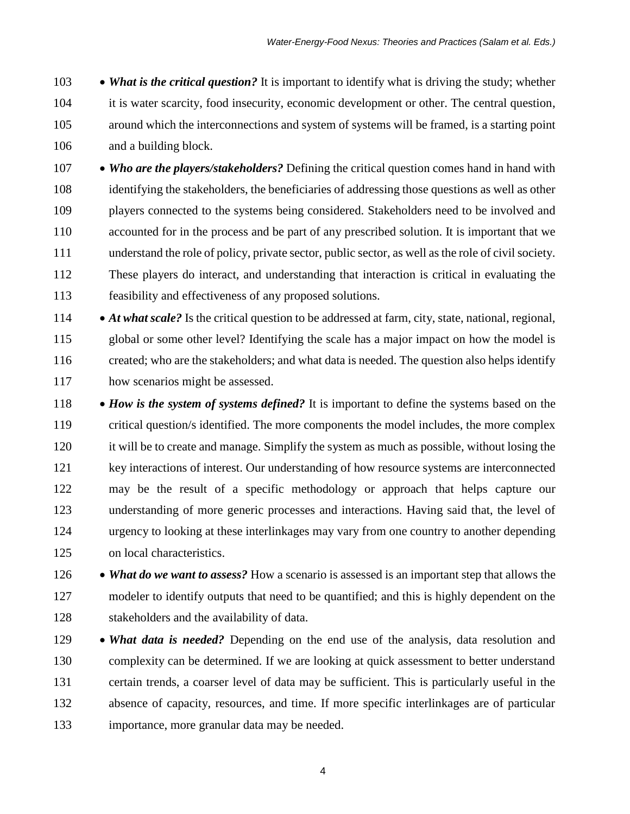**• What is the critical question?** It is important to identify what is driving the study; whether it is water scarcity, food insecurity, economic development or other. The central question, around which the interconnections and system of systems will be framed, is a starting point and a building block.

**• Who are the players/stakeholders?** Defining the critical question comes hand in hand with identifying the stakeholders, the beneficiaries of addressing those questions as well as other players connected to the systems being considered. Stakeholders need to be involved and accounted for in the process and be part of any prescribed solution. It is important that we understand the role of policy, private sector, public sector, as well as the role of civil society. These players do interact, and understanding that interaction is critical in evaluating the feasibility and effectiveness of any proposed solutions.

114 • *At what scale?* Is the critical question to be addressed at farm, city, state, national, regional, global or some other level? Identifying the scale has a major impact on how the model is created; who are the stakeholders; and what data is needed. The question also helps identify how scenarios might be assessed.

- 118 *How is the system of systems defined?* It is important to define the systems based on the critical question/s identified. The more components the model includes, the more complex it will be to create and manage. Simplify the system as much as possible, without losing the key interactions of interest. Our understanding of how resource systems are interconnected may be the result of a specific methodology or approach that helps capture our understanding of more generic processes and interactions. Having said that, the level of urgency to looking at these interlinkages may vary from one country to another depending on local characteristics.
- *What do we want to assess?* How a scenario is assessed is an important step that allows the modeler to identify outputs that need to be quantified; and this is highly dependent on the stakeholders and the availability of data.
- 129 *What data is needed?* Depending on the end use of the analysis, data resolution and complexity can be determined. If we are looking at quick assessment to better understand certain trends, a coarser level of data may be sufficient. This is particularly useful in the absence of capacity, resources, and time. If more specific interlinkages are of particular importance, more granular data may be needed.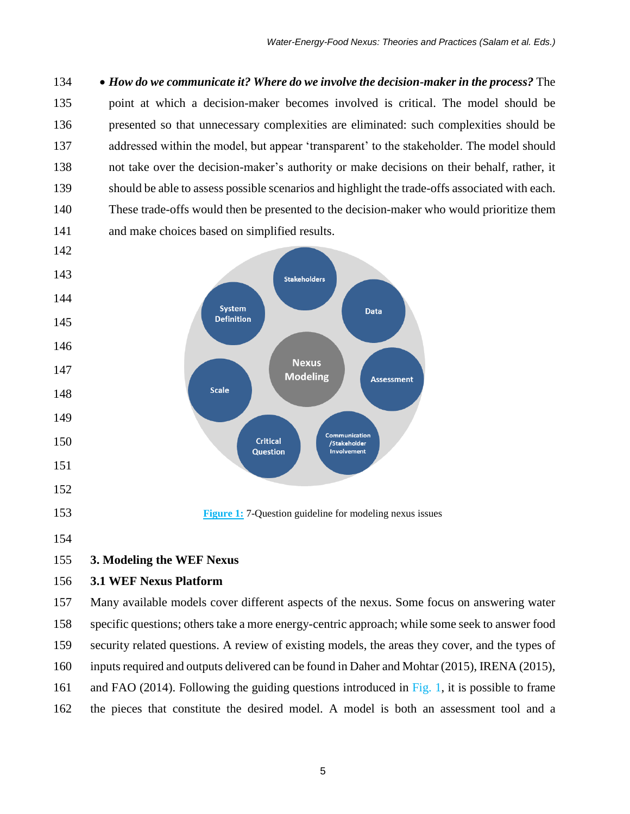*How do we communicate it? Where do we involve the decision-maker in the process?* The point at which a decision-maker becomes involved is critical. The model should be presented so that unnecessary complexities are eliminated: such complexities should be addressed within the model, but appear 'transparent' to the stakeholder. The model should not take over the decision-maker's authority or make decisions on their behalf, rather, it should be able to assess possible scenarios and highlight the trade-offs associated with each. These trade-offs would then be presented to the decision-maker who would prioritize them and make choices based on simplified results.



# **3.1 WEF Nexus Platform**

 Many available models cover different aspects of the nexus. Some focus on answering water specific questions; others take a more energy-centric approach; while some seek to answer food security related questions. A review of existing models, the areas they cover, and the types of inputs required and outputs delivered can be found in Daher and Mohtar (2015), IRENA (2015), 161 and FAO (2014). Following the guiding questions introduced in Fig. 1, it is possible to frame the pieces that constitute the desired model. A model is both an assessment tool and a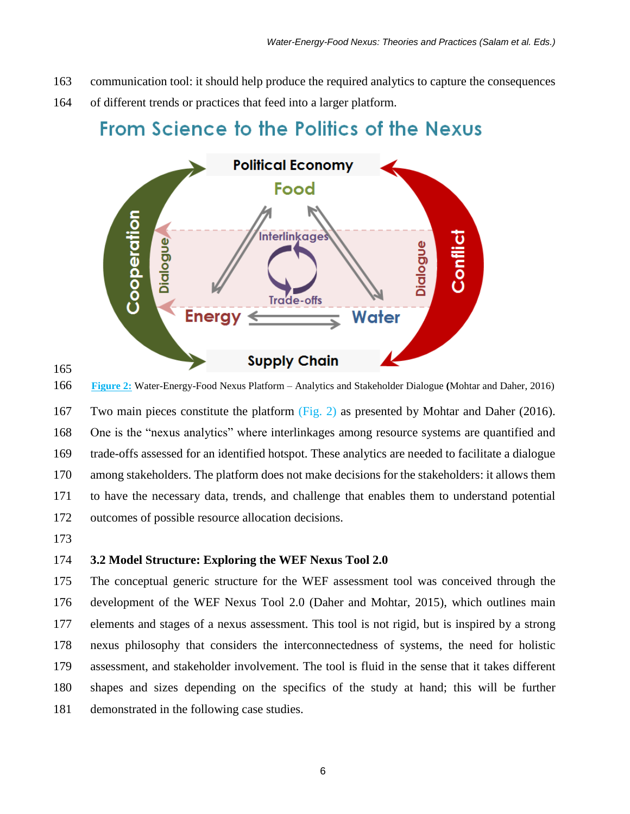- communication tool: it should help produce the required analytics to capture the consequences
- of different trends or practices that feed into a larger platform.

# From Science to the Politics of the Nexus



**Figure 2:** Water-Energy-Food Nexus Platform – Analytics and Stakeholder Dialogue **(**Mohtar and Daher, 2016)

 Two main pieces constitute the platform (Fig. 2) as presented by Mohtar and Daher (2016). One is the "nexus analytics" where interlinkages among resource systems are quantified and trade-offs assessed for an identified hotspot. These analytics are needed to facilitate a dialogue among stakeholders. The platform does not make decisions for the stakeholders: it allows them to have the necessary data, trends, and challenge that enables them to understand potential outcomes of possible resource allocation decisions.

## **3.2 Model Structure: Exploring the WEF Nexus Tool 2.0**

 The conceptual generic structure for the WEF assessment tool was conceived through the development of the WEF Nexus Tool 2.0 (Daher and Mohtar, 2015), which outlines main elements and stages of a nexus assessment. This tool is not rigid, but is inspired by a strong nexus philosophy that considers the interconnectedness of systems, the need for holistic assessment, and stakeholder involvement. The tool is fluid in the sense that it takes different shapes and sizes depending on the specifics of the study at hand; this will be further demonstrated in the following case studies.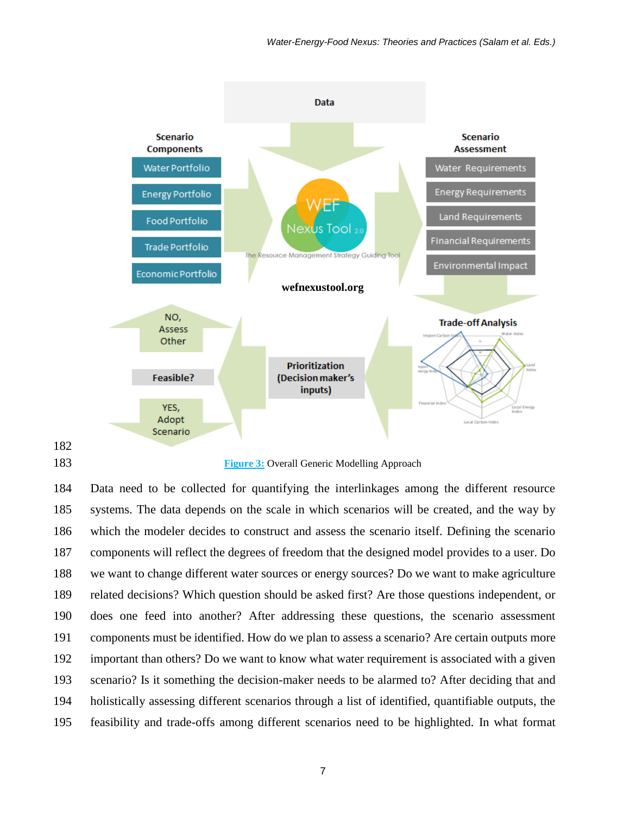

#### **Figure 3:** Overall Generic Modelling Approach

 Data need to be collected for quantifying the interlinkages among the different resource systems. The data depends on the scale in which scenarios will be created, and the way by which the modeler decides to construct and assess the scenario itself. Defining the scenario components will reflect the degrees of freedom that the designed model provides to a user. Do we want to change different water sources or energy sources? Do we want to make agriculture related decisions? Which question should be asked first? Are those questions independent, or does one feed into another? After addressing these questions, the scenario assessment components must be identified. How do we plan to assess a scenario? Are certain outputs more important than others? Do we want to know what water requirement is associated with a given scenario? Is it something the decision-maker needs to be alarmed to? After deciding that and holistically assessing different scenarios through a list of identified, quantifiable outputs, the feasibility and trade-offs among different scenarios need to be highlighted. In what format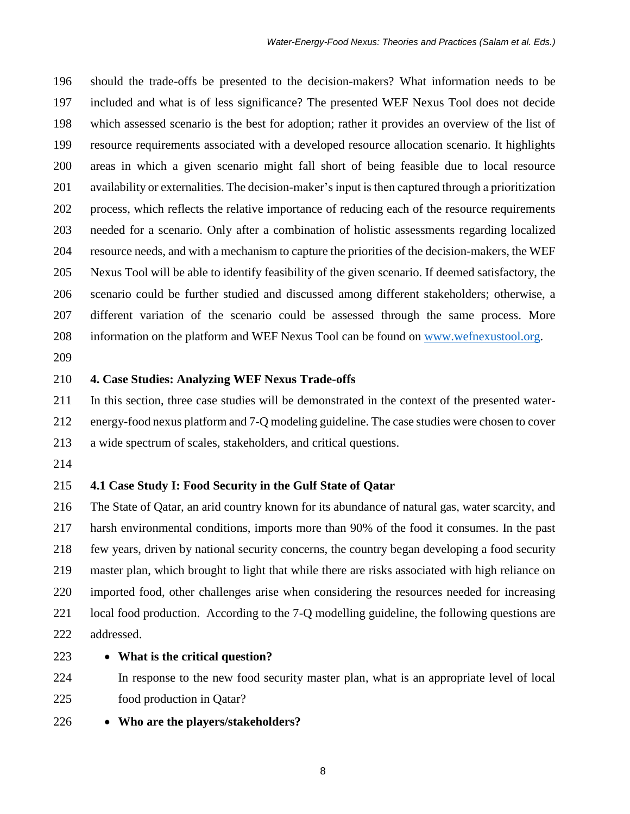should the trade-offs be presented to the decision-makers? What information needs to be included and what is of less significance? The presented WEF Nexus Tool does not decide which assessed scenario is the best for adoption; rather it provides an overview of the list of resource requirements associated with a developed resource allocation scenario. It highlights areas in which a given scenario might fall short of being feasible due to local resource availability or externalities. The decision-maker's input is then captured through a prioritization process, which reflects the relative importance of reducing each of the resource requirements needed for a scenario. Only after a combination of holistic assessments regarding localized resource needs, and with a mechanism to capture the priorities of the decision-makers, the WEF Nexus Tool will be able to identify feasibility of the given scenario. If deemed satisfactory, the scenario could be further studied and discussed among different stakeholders; otherwise, a different variation of the scenario could be assessed through the same process. More 208 information on the platform and WEF Nexus Tool can be found on [www.wefnexustool.org.](http://www.wefnexustool.org/)

## **4. Case Studies: Analyzing WEF Nexus Trade-offs**

 In this section, three case studies will be demonstrated in the context of the presented water- energy-food nexus platform and 7-Q modeling guideline. The case studies were chosen to cover a wide spectrum of scales, stakeholders, and critical questions.

#### **4.1 Case Study I: Food Security in the Gulf State of Qatar**

 The State of Qatar, an arid country known for its abundance of natural gas, water scarcity, and harsh environmental conditions, imports more than 90% of the food it consumes. In the past few years, driven by national security concerns, the country began developing a food security master plan, which brought to light that while there are risks associated with high reliance on imported food, other challenges arise when considering the resources needed for increasing local food production. According to the 7-Q modelling guideline, the following questions are addressed.

# **What is the critical question?**

 In response to the new food security master plan, what is an appropriate level of local food production in Qatar?

**Who are the players/stakeholders?**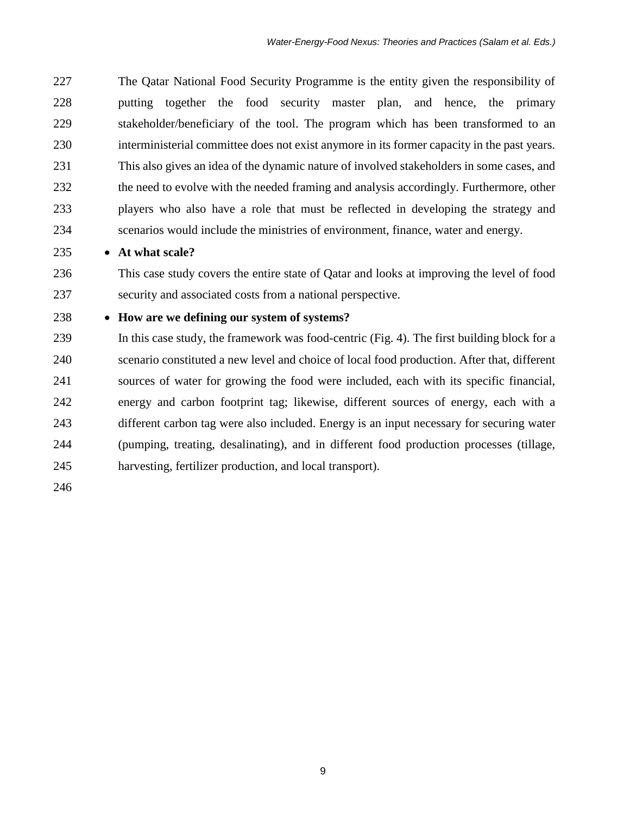The Qatar National Food Security Programme is the entity given the responsibility of putting together the food security master plan, and hence, the primary stakeholder/beneficiary of the tool. The program which has been transformed to an interministerial committee does not exist anymore in its former capacity in the past years. This also gives an idea of the dynamic nature of involved stakeholders in some cases, and the need to evolve with the needed framing and analysis accordingly. Furthermore, other players who also have a role that must be reflected in developing the strategy and scenarios would include the ministries of environment, finance, water and energy.

**At what scale?**

 This case study covers the entire state of Qatar and looks at improving the level of food security and associated costs from a national perspective.

# **How are we defining our system of systems?**

 In this case study, the framework was food-centric (Fig. 4). The first building block for a scenario constituted a new level and choice of local food production. After that, different sources of water for growing the food were included, each with its specific financial, energy and carbon footprint tag; likewise, different sources of energy, each with a different carbon tag were also included. Energy is an input necessary for securing water (pumping, treating, desalinating), and in different food production processes (tillage, harvesting, fertilizer production, and local transport).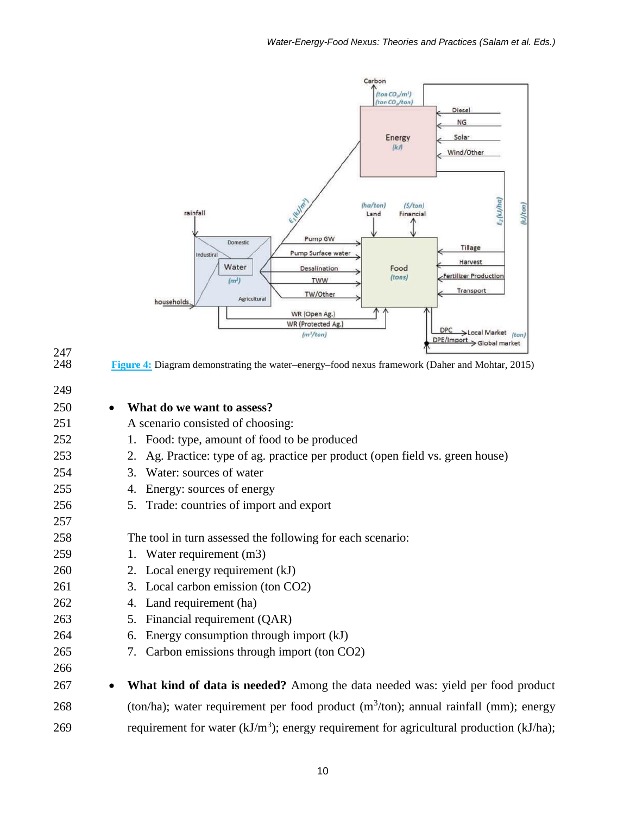

247<br>248 **Figure 4:** Diagram demonstrating the water–energy–food nexus framework (Daher and Mohtar, 2015) **What do we want to assess?**  A scenario consisted of choosing: 1. Food: type, amount of food to be produced 2. Ag. Practice: type of ag. practice per product (open field vs. green house) 3. Water: sources of water 4. Energy: sources of energy 5. Trade: countries of import and export The tool in turn assessed the following for each scenario: 1. Water requirement (m3) 2. Local energy requirement (kJ) 3. Local carbon emission (ton CO2) 4. Land requirement (ha) 5. Financial requirement (QAR) 6. Energy consumption through import (kJ) 7. Carbon emissions through import (ton CO2) **What kind of data is needed?** Among the data needed was: yield per food product 268 (ton/ha); water requirement per food product  $(m<sup>3</sup>/ton)$ ; annual rainfall (mm); energy 269 requirement for water  $(kJ/m<sup>3</sup>)$ ; energy requirement for agricultural production  $(kJ/ha)$ ;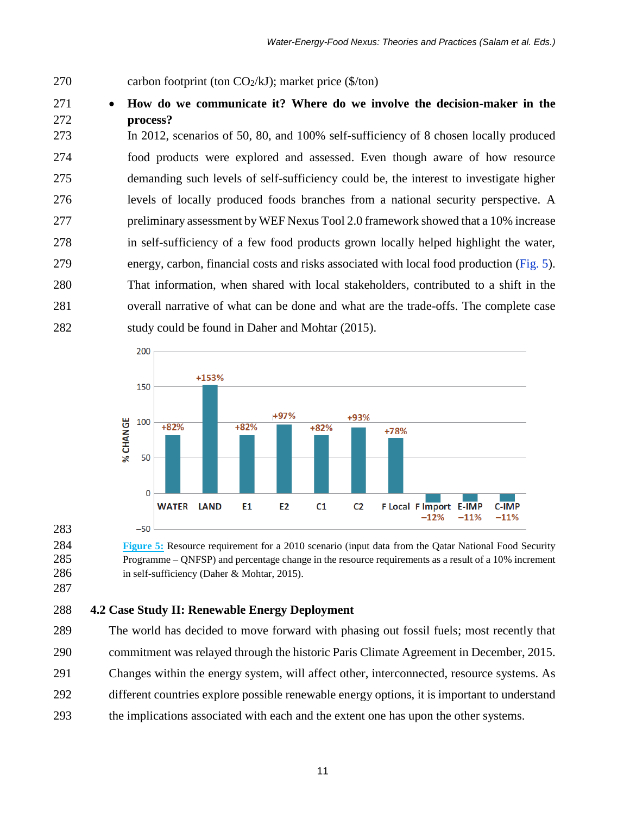- 270 carbon footprint (ton  $CO<sub>2</sub>/kJ$ ); market price (\$/ton)
- **How do we communicate it? Where do we involve the decision-maker in the process?**

 In 2012, scenarios of 50, 80, and 100% self-sufficiency of 8 chosen locally produced food products were explored and assessed. Even though aware of how resource demanding such levels of self-sufficiency could be, the interest to investigate higher levels of locally produced foods branches from a national security perspective. A preliminary assessment by WEF Nexus Tool 2.0 framework showed that a 10% increase in self-sufficiency of a few food products grown locally helped highlight the water, energy, carbon, financial costs and risks associated with local food production (Fig. 5). That information, when shared with local stakeholders, contributed to a shift in the overall narrative of what can be done and what are the trade-offs. The complete case study could be found in Daher and Mohtar (2015).



 **Figure 5:** Resource requirement for a 2010 scenario (input data from the Qatar National Food Security Programme – QNFSP) and percentage change in the resource requirements as a result of a 10% increment 286 in self-sufficiency (Daher & Mohtar, 2015).

# **4.2 Case Study II: Renewable Energy Deployment**

The world has decided to move forward with phasing out fossil fuels; most recently that

- commitment was relayed through the historic Paris Climate Agreement in December, 2015.
- Changes within the energy system, will affect other, interconnected, resource systems. As
- different countries explore possible renewable energy options, it is important to understand
- the implications associated with each and the extent one has upon the other systems.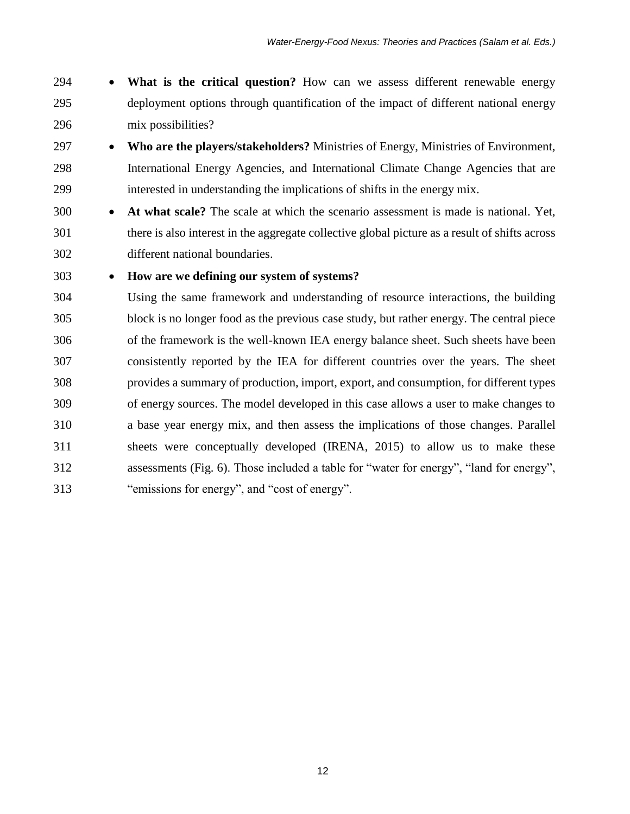- **What is the critical question?** How can we assess different renewable energy deployment options through quantification of the impact of different national energy mix possibilities?
- **Who are the players/stakeholders?** Ministries of Energy, Ministries of Environment, International Energy Agencies, and International Climate Change Agencies that are interested in understanding the implications of shifts in the energy mix.
- **At what scale?** The scale at which the scenario assessment is made is national. Yet, there is also interest in the aggregate collective global picture as a result of shifts across different national boundaries.

# **How are we defining our system of systems?**

 Using the same framework and understanding of resource interactions, the building block is no longer food as the previous case study, but rather energy. The central piece of the framework is the well-known IEA energy balance sheet. Such sheets have been consistently reported by the IEA for different countries over the years. The sheet provides a summary of production, import, export, and consumption, for different types of energy sources. The model developed in this case allows a user to make changes to a base year energy mix, and then assess the implications of those changes. Parallel sheets were conceptually developed (IRENA, 2015) to allow us to make these assessments (Fig. 6). Those included a table for "water for energy", "land for energy", "emissions for energy", and "cost of energy".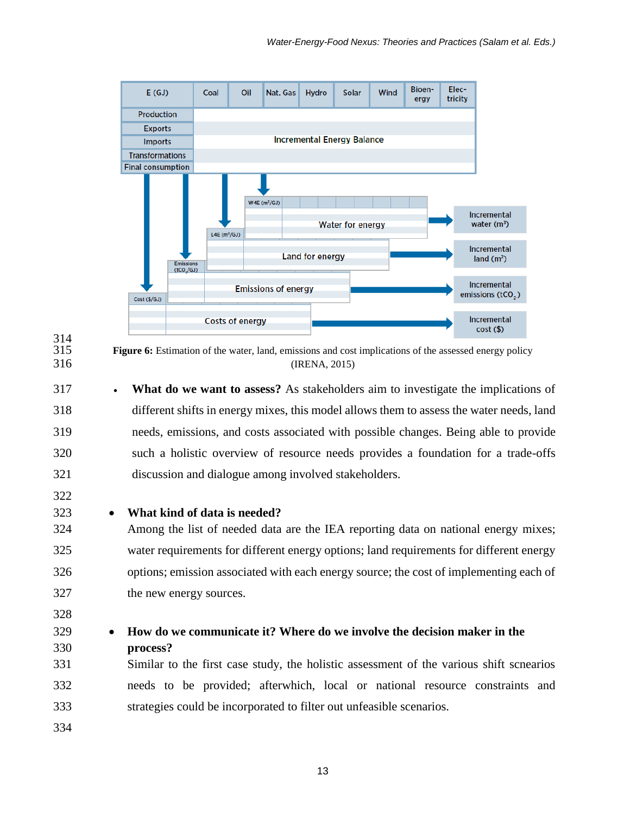



314<br>315

**Figure 6:** Estimation of the water, land, emissions and cost implications of the assessed energy policy (IRENA, 2015)

 **What do we want to assess?** As stakeholders aim to investigate the implications of different shifts in energy mixes, this model allows them to assess the water needs, land needs, emissions, and costs associated with possible changes. Being able to provide such a holistic overview of resource needs provides a foundation for a trade-offs discussion and dialogue among involved stakeholders.

## **What kind of data is needed?**

 Among the list of needed data are the IEA reporting data on national energy mixes; water requirements for different energy options; land requirements for different energy options; emission associated with each energy source; the cost of implementing each of the new energy sources.

- 
- 

# **How do we communicate it? Where do we involve the decision maker in the process?**

 Similar to the first case study, the holistic assessment of the various shift scnearios needs to be provided; afterwhich, local or national resource constraints and strategies could be incorporated to filter out unfeasible scenarios.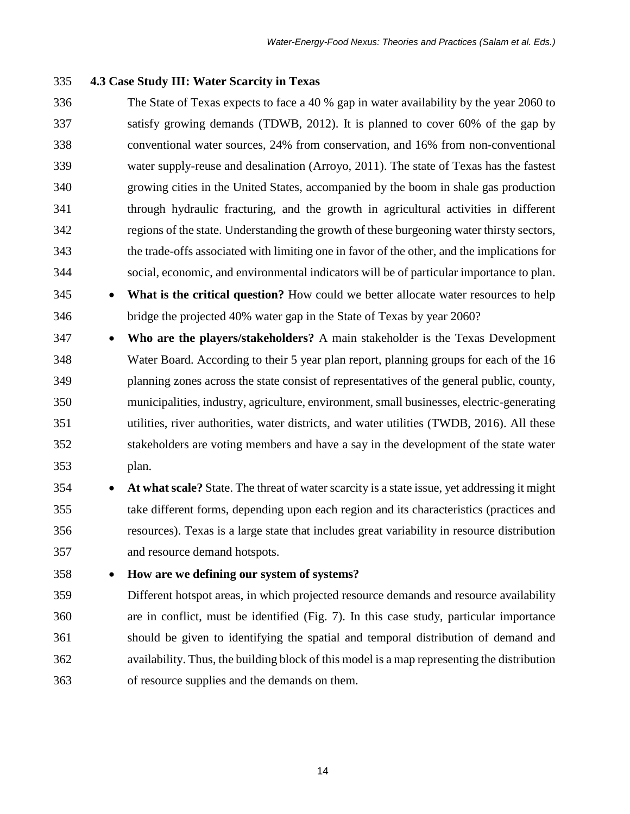## **4.3 Case Study III: Water Scarcity in Texas**

- The State of Texas expects to face a 40 % gap in water availability by the year 2060 to satisfy growing demands (TDWB, 2012). It is planned to cover 60% of the gap by conventional water sources, 24% from conservation, and 16% from non-conventional water supply-reuse and desalination (Arroyo, 2011). The state of Texas has the fastest growing cities in the United States, accompanied by the boom in shale gas production through hydraulic fracturing, and the growth in agricultural activities in different regions of the state. Understanding the growth of these burgeoning water thirsty sectors, the trade-offs associated with limiting one in favor of the other, and the implications for social, economic, and environmental indicators will be of particular importance to plan.
- **What is the critical question?** How could we better allocate water resources to help bridge the projected 40% water gap in the State of Texas by year 2060?
- **Who are the players/stakeholders?** A main stakeholder is the Texas Development Water Board. According to their 5 year plan report, planning groups for each of the 16 planning zones across the state consist of representatives of the general public, county, municipalities, industry, agriculture, environment, small businesses, electric-generating utilities, river authorities, water districts, and water utilities (TWDB, 2016). All these stakeholders are voting members and have a say in the development of the state water plan.
- **At what scale?** State. The threat of water scarcity is a state issue, yet addressing it might take different forms, depending upon each region and its characteristics (practices and resources). Texas is a large state that includes great variability in resource distribution and resource demand hotspots.
- 

## **How are we defining our system of systems?**

 Different hotspot areas, in which projected resource demands and resource availability are in conflict, must be identified (Fig. 7). In this case study, particular importance should be given to identifying the spatial and temporal distribution of demand and availability. Thus, the building block of this model is a map representing the distribution of resource supplies and the demands on them.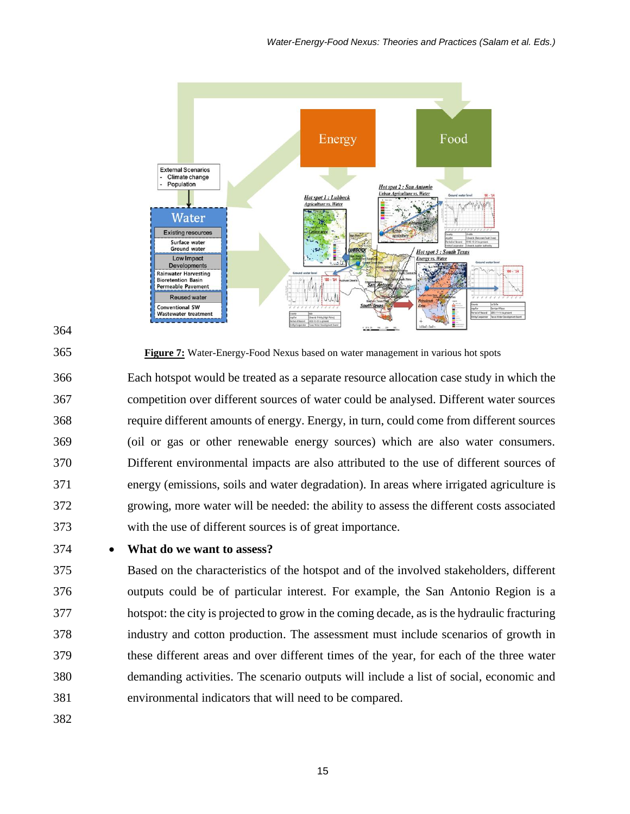



**Figure 7:** Water-Energy-Food Nexus based on water management in various hot spots

 Each hotspot would be treated as a separate resource allocation case study in which the competition over different sources of water could be analysed. Different water sources require different amounts of energy. Energy, in turn, could come from different sources (oil or gas or other renewable energy sources) which are also water consumers. Different environmental impacts are also attributed to the use of different sources of energy (emissions, soils and water degradation). In areas where irrigated agriculture is growing, more water will be needed: the ability to assess the different costs associated with the use of different sources is of great importance.

## **What do we want to assess?**

 Based on the characteristics of the hotspot and of the involved stakeholders, different outputs could be of particular interest. For example, the San Antonio Region is a hotspot: the city is projected to grow in the coming decade, as is the hydraulic fracturing industry and cotton production. The assessment must include scenarios of growth in these different areas and over different times of the year, for each of the three water demanding activities. The scenario outputs will include a list of social, economic and environmental indicators that will need to be compared.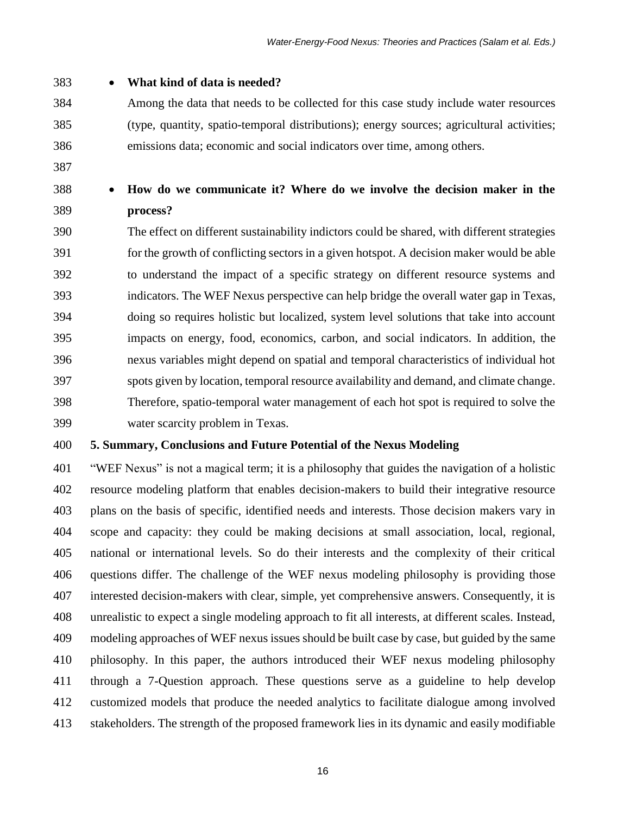# **What kind of data is needed?**

- Among the data that needs to be collected for this case study include water resources (type, quantity, spatio-temporal distributions); energy sources; agricultural activities; emissions data; economic and social indicators over time, among others.
- 
- 

# **How do we communicate it? Where do we involve the decision maker in the process?**

 The effect on different sustainability indictors could be shared, with different strategies for the growth of conflicting sectors in a given hotspot. A decision maker would be able to understand the impact of a specific strategy on different resource systems and indicators. The WEF Nexus perspective can help bridge the overall water gap in Texas, doing so requires holistic but localized, system level solutions that take into account impacts on energy, food, economics, carbon, and social indicators. In addition, the nexus variables might depend on spatial and temporal characteristics of individual hot spots given by location, temporal resource availability and demand, and climate change. Therefore, spatio-temporal water management of each hot spot is required to solve the water scarcity problem in Texas.

# **5. Summary, Conclusions and Future Potential of the Nexus Modeling**

 "WEF Nexus" is not a magical term; it is a philosophy that guides the navigation of a holistic resource modeling platform that enables decision-makers to build their integrative resource plans on the basis of specific, identified needs and interests. Those decision makers vary in scope and capacity: they could be making decisions at small association, local, regional, national or international levels. So do their interests and the complexity of their critical questions differ. The challenge of the WEF nexus modeling philosophy is providing those interested decision-makers with clear, simple, yet comprehensive answers. Consequently, it is unrealistic to expect a single modeling approach to fit all interests, at different scales. Instead, modeling approaches of WEF nexus issues should be built case by case, but guided by the same philosophy. In this paper, the authors introduced their WEF nexus modeling philosophy through a 7-Question approach. These questions serve as a guideline to help develop customized models that produce the needed analytics to facilitate dialogue among involved stakeholders. The strength of the proposed framework lies in its dynamic and easily modifiable